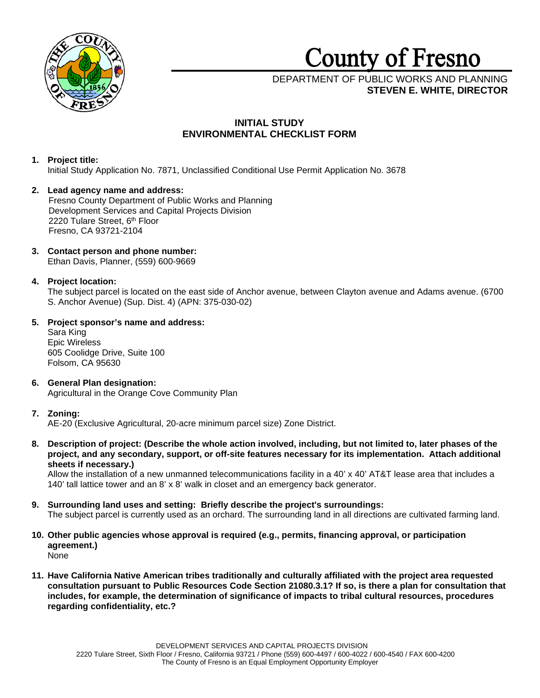

# **County** of **Fresno**

# DEPARTMENT OF PUBLIC WORKS AND PLANNING **STEVEN E. WHITE, DIRECTOR**

# **INITIAL STUDY ENVIRONMENTAL CHECKLIST FORM**

# **1. Project title:**

Initial Study Application No. 7871, Unclassified Conditional Use Permit Application No. 3678

- **2. Lead agency name and address:** Fresno County Department of Public Works and Planning Development Services and Capital Projects Division 2220 Tulare Street, 6<sup>th</sup> Floor Fresno, CA 93721-2104
- **3. Contact person and phone number:** Ethan Davis, Planner, (559) 600-9669

# **4. Project location:**

The subject parcel is located on the east side of Anchor avenue, between Clayton avenue and Adams avenue. (6700 S. Anchor Avenue) (Sup. Dist. 4) (APN: 375-030-02)

**5. Project sponsor's name and address:**

Sara King Epic Wireless 605 Coolidge Drive, Suite 100 Folsom, CA 95630

**6. General Plan designation:** Agricultural in the Orange Cove Community Plan

# **7. Zoning:**

AE-20 (Exclusive Agricultural, 20-acre minimum parcel size) Zone District.

**8. Description of project: (Describe the whole action involved, including, but not limited to, later phases of the project, and any secondary, support, or off-site features necessary for its implementation. Attach additional sheets if necessary.)**

Allow the installation of a new unmanned telecommunications facility in a 40' x 40' AT&T lease area that includes a 140' tall lattice tower and an 8' x 8' walk in closet and an emergency back generator.

- **9. Surrounding land uses and setting: Briefly describe the project's surroundings:** The subject parcel is currently used as an orchard. The surrounding land in all directions are cultivated farming land.
- **10. Other public agencies whose approval is required (e.g., permits, financing approval, or participation agreement.)** None
- **11. Have California Native American tribes traditionally and culturally affiliated with the project area requested consultation pursuant to Public Resources Code Section 21080.3.1? If so, is there a plan for consultation that includes, for example, the determination of significance of impacts to tribal cultural resources, procedures regarding confidentiality, etc.?**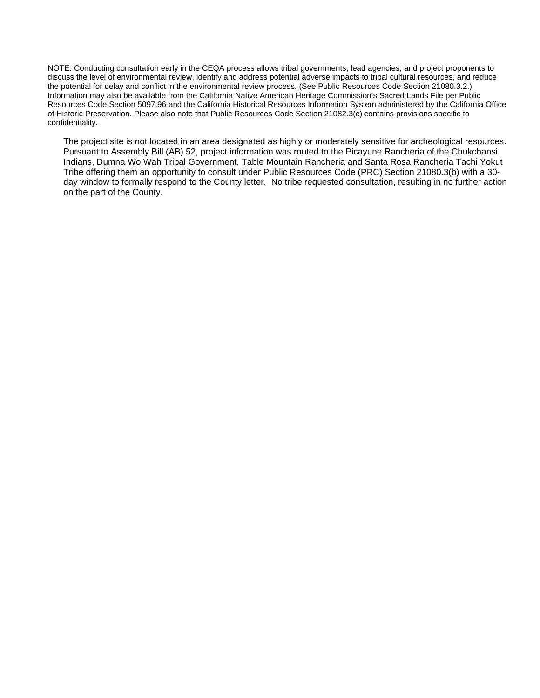NOTE: Conducting consultation early in the CEQA process allows tribal governments, lead agencies, and project proponents to discuss the level of environmental review, identify and address potential adverse impacts to tribal cultural resources, and reduce the potential for delay and conflict in the environmental review process. (See Public Resources Code Section 21080.3.2.) Information may also be available from the California Native American Heritage Commission's Sacred Lands File per Public Resources Code Section 5097.96 and the California Historical Resources Information System administered by the California Office of Historic Preservation. Please also note that Public Resources Code Section 21082.3(c) contains provisions specific to confidentiality.

The project site is not located in an area designated as highly or moderately sensitive for archeological resources. Pursuant to Assembly Bill (AB) 52, project information was routed to the Picayune Rancheria of the Chukchansi Indians, Dumna Wo Wah Tribal Government, Table Mountain Rancheria and Santa Rosa Rancheria Tachi Yokut Tribe offering them an opportunity to consult under Public Resources Code (PRC) Section 21080.3(b) with a 30 day window to formally respond to the County letter. No tribe requested consultation, resulting in no further action on the part of the County.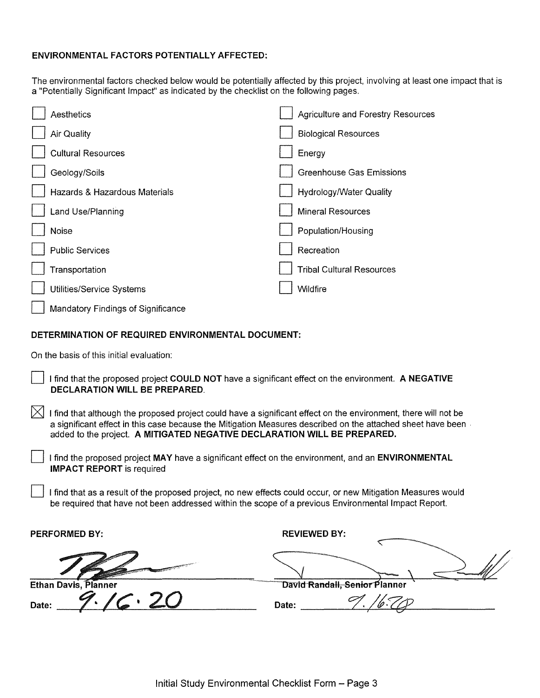# **ENVIRONMENTAL FACTORS POTENTIALLY AFFECTED:**

The environmental factors checked below would be potentially affected by this project, involving at least one impact that is a "Potentially Significant Impact" as indicated by the checklist on the following pages.

| Aesthetics                         | <b>Agriculture and Forestry Resources</b> |
|------------------------------------|-------------------------------------------|
| <b>Air Quality</b>                 | <b>Biological Resources</b>               |
| <b>Cultural Resources</b>          | Energy                                    |
| Geology/Soils                      | <b>Greenhouse Gas Emissions</b>           |
| Hazards & Hazardous Materials      | Hydrology/Water Quality                   |
| Land Use/Planning                  | <b>Mineral Resources</b>                  |
| Noise                              | Population/Housing                        |
| <b>Public Services</b>             | Recreation                                |
| Transportation                     | <b>Tribal Cultural Resources</b>          |
| Utilities/Service Systems          | Wildfire                                  |
| Mandatory Findings of Significance |                                           |

# **DETERMINATION OF REQUIRED ENVIRONMENTAL DOCUMENT:**

On the basis of this initial evaluation:

- D I find that the proposed project **COULD NOT** have a significant effect on the environment. **A NEGATIVE DECLARATION WILL BE PREPARED.**
- $\times$  I find that although the proposed project could have a significant effect on the environment, there will not be a significant effect in this case because the Mitigation Measures described on the attached sheet have been . added to the project. **A MITIGATED NEGATIVE DECLARATION WILL BE PREPARED.** 
	- D I find the proposed project **MAY** have a significant effect on the environment, and an **ENVIRONMENTAL IMPACT REPORT** is required
	- D I find that as a result of the proposed project, no new effects could occur, or new Mitigation Measures would be required that have not been addressed within the scope of a previous Environmental Impact Report.

| <b>PERFORMED BY:</b>        | <b>REVIEWED BY:</b>           |
|-----------------------------|-------------------------------|
|                             |                               |
| <b>Ethan Davis, Planner</b> | David Randall, Senior Planner |
| Date:                       | Date:                         |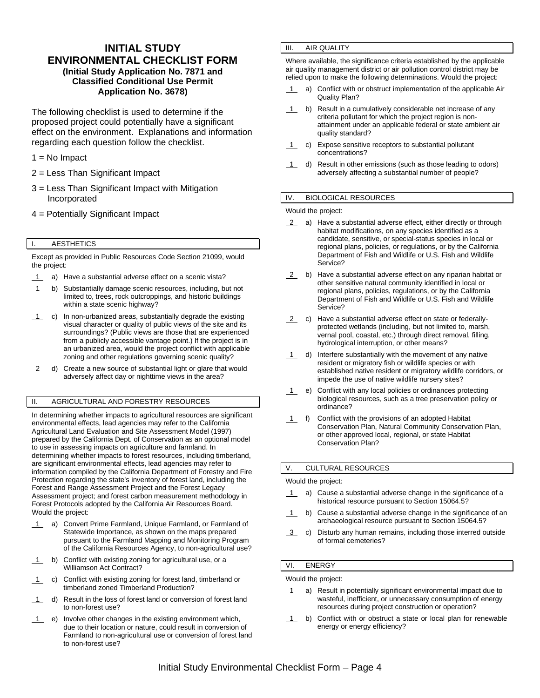# **INITIAL STUDY ENVIRONMENTAL CHECKLIST FORM (Initial Study Application No. 7871 and Classified Conditional Use Permit Application No. 3678)**

The following checklist is used to determine if the proposed project could potentially have a significant effect on the environment. Explanations and information regarding each question follow the checklist.

- $1 = No$  Impact
- 2 = Less Than Significant Impact
- 3 = Less Than Significant Impact with Mitigation Incorporated
- 4 = Potentially Significant Impact

# I. AESTHETICS

Except as provided in Public Resources Code Section 21099, would the project:

- 1 a) Have a substantial adverse effect on a scenic vista?
- 1 b) Substantially damage scenic resources, including, but not limited to, trees, rock outcroppings, and historic buildings within a state scenic highway?
- 1 c) In non-urbanized areas, substantially degrade the existing visual character or quality of public views of the site and its surroundings? (Public views are those that are experienced from a publicly accessible vantage point.) If the project is in an urbanized area, would the project conflict with applicable zoning and other regulations governing scenic quality?
- 2 d) Create a new source of substantial light or glare that would adversely affect day or nighttime views in the area?

## II. AGRICULTURAL AND FORESTRY RESOURCES

In determining whether impacts to agricultural resources are significant environmental effects, lead agencies may refer to the California Agricultural Land Evaluation and Site Assessment Model (1997) prepared by the California Dept. of Conservation as an optional model to use in assessing impacts on agriculture and farmland. In determining whether impacts to forest resources, including timberland, are significant environmental effects, lead agencies may refer to information compiled by the California Department of Forestry and Fire Protection regarding the state's inventory of forest land, including the Forest and Range Assessment Project and the Forest Legacy Assessment project; and forest carbon measurement methodology in Forest Protocols adopted by the California Air Resources Board. Would the project:

- 1 a) Convert Prime Farmland, Unique Farmland, or Farmland of Statewide Importance, as shown on the maps prepared pursuant to the Farmland Mapping and Monitoring Program of the California Resources Agency, to non-agricultural use?
- 1 b) Conflict with existing zoning for agricultural use, or a Williamson Act Contract?
- 1 c) Conflict with existing zoning for forest land, timberland or timberland zoned Timberland Production?
- 1 d) Result in the loss of forest land or conversion of forest land to non-forest use?
- 1 e) Involve other changes in the existing environment which, due to their location or nature, could result in conversion of Farmland to non-agricultural use or conversion of forest land to non-forest use?

## III. AIR QUALITY

Where available, the significance criteria established by the applicable air quality management district or air pollution control district may be relied upon to make the following determinations. Would the project:

- 1 a) Conflict with or obstruct implementation of the applicable Air Quality Plan?
- 1 b) Result in a cumulatively considerable net increase of any criteria pollutant for which the project region is nonattainment under an applicable federal or state ambient air quality standard?
- 1 c) Expose sensitive receptors to substantial pollutant concentrations?
- 1 d) Result in other emissions (such as those leading to odors) adversely affecting a substantial number of people?

#### IV. BIOLOGICAL RESOURCES

Would the project:

- 2 a) Have a substantial adverse effect, either directly or through habitat modifications, on any species identified as a candidate, sensitive, or special-status species in local or regional plans, policies, or regulations, or by the California Department of Fish and Wildlife or U.S. Fish and Wildlife Service?
- 2 b) Have a substantial adverse effect on any riparian habitat or other sensitive natural community identified in local or regional plans, policies, regulations, or by the California Department of Fish and Wildlife or U.S. Fish and Wildlife Service?
- 2 c) Have a substantial adverse effect on state or federallyprotected wetlands (including, but not limited to, marsh, vernal pool, coastal, etc.) through direct removal, filling, hydrological interruption, or other means?
- $1$  d) Interfere substantially with the movement of any native resident or migratory fish or wildlife species or with established native resident or migratory wildlife corridors, or impede the use of native wildlife nursery sites?
- 1 e) Conflict with any local policies or ordinances protecting biological resources, such as a tree preservation policy or ordinance?
- 1 f) Conflict with the provisions of an adopted Habitat Conservation Plan, Natural Community Conservation Plan, or other approved local, regional, or state Habitat Conservation Plan?

## V. CULTURAL RESOURCES

#### Would the project:

- 1 a) Cause a substantial adverse change in the significance of a historical resource pursuant to Section 15064.5?
- 1 b) Cause a substantial adverse change in the significance of an archaeological resource pursuant to Section 15064.5?
- 3 c) Disturb any human remains, including those interred outside of formal cemeteries?

#### VI. ENERGY

Would the project:

- 1 a) Result in potentially significant environmental impact due to wasteful, inefficient, or unnecessary consumption of energy resources during project construction or operation?
- 1 b) Conflict with or obstruct a state or local plan for renewable energy or energy efficiency?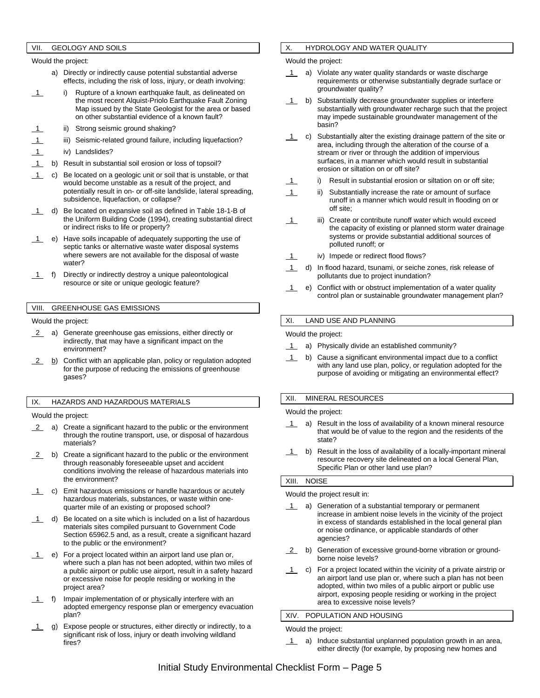## VII. GEOLOGY AND SOILS

Would the project:

- a) Directly or indirectly cause potential substantial adverse effects, including the risk of loss, injury, or death involving:
- 1 i) Rupture of a known earthquake fault, as delineated on the most recent Alquist-Priolo Earthquake Fault Zoning Map issued by the State Geologist for the area or based on other substantial evidence of a known fault?
- ii) Strong seismic ground shaking?
- iii) Seismic-related ground failure, including liquefaction?
- 1 iv) Landslides?
- 1 b) Result in substantial soil erosion or loss of topsoil?
- 1 c) Be located on a geologic unit or soil that is unstable, or that would become unstable as a result of the project, and potentially result in on- or off-site landslide, lateral spreading, subsidence, liquefaction, or collapse?
- d) Be located on expansive soil as defined in Table 18-1-B of the Uniform Building Code (1994), creating substantial direct or indirect risks to life or property?
- 1 e) Have soils incapable of adequately supporting the use of septic tanks or alternative waste water disposal systems where sewers are not available for the disposal of waste water?
- 1 f) Directly or indirectly destroy a unique paleontological resource or site or unique geologic feature?

## VIII. GREENHOUSE GAS EMISSIONS

#### Would the project:

- 2 a) Generate greenhouse gas emissions, either directly or indirectly, that may have a significant impact on the environment?
- 2 b) Conflict with an applicable plan, policy or regulation adopted for the purpose of reducing the emissions of greenhouse gases?

#### IX. HAZARDS AND HAZARDOUS MATERIALS

Would the project:

- 2 a) Create a significant hazard to the public or the environment through the routine transport, use, or disposal of hazardous materials?
- 2 b) Create a significant hazard to the public or the environment through reasonably foreseeable upset and accident conditions involving the release of hazardous materials into the environment?
- c) Emit hazardous emissions or handle hazardous or acutely hazardous materials, substances, or waste within onequarter mile of an existing or proposed school?
- $1$  d) Be located on a site which is included on a list of hazardous materials sites compiled pursuant to Government Code Section 65962.5 and, as a result, create a significant hazard to the public or the environment?
- 1 e) For a project located within an airport land use plan or, where such a plan has not been adopted, within two miles of a public airport or public use airport, result in a safety hazard or excessive noise for people residing or working in the project area?
- 1 f) Impair implementation of or physically interfere with an adopted emergency response plan or emergency evacuation plan?
- 1 g) Expose people or structures, either directly or indirectly, to a significant risk of loss, injury or death involving wildland fires?

## X. HYDROLOGY AND WATER QUALITY

#### Would the project:

- a) Violate any water quality standards or waste discharge requirements or otherwise substantially degrade surface or groundwater quality?
- b) Substantially decrease groundwater supplies or interfere substantially with groundwater recharge such that the project may impede sustainable groundwater management of the basin?
- $\overline{1}$  c) Substantially alter the existing drainage pattern of the site or area, including through the alteration of the course of a stream or river or through the addition of impervious surfaces, in a manner which would result in substantial erosion or siltation on or off site?
	- i) Result in substantial erosion or siltation on or off site;
- 1 ii) Substantially increase the rate or amount of surface runoff in a manner which would result in flooding on or off site;
- 1 iii) Create or contribute runoff water which would exceed the capacity of existing or planned storm water drainage systems or provide substantial additional sources of polluted runoff; or
- 1 iv) Impede or redirect flood flows?
- 1 d) In flood hazard, tsunami, or seiche zones, risk release of pollutants due to project inundation?
- 1 e) Conflict with or obstruct implementation of a water quality control plan or sustainable groundwater management plan?

#### XI. LAND USE AND PLANNING

Would the project:

- 1 a) Physically divide an established community?
- 1 b) Cause a significant environmental impact due to a conflict with any land use plan, policy, or regulation adopted for the purpose of avoiding or mitigating an environmental effect?

## XII. MINERAL RESOURCES

Would the project:

- 1 a) Result in the loss of availability of a known mineral resource that would be of value to the region and the residents of the state?
- 1 b) Result in the loss of availability of a locally-important mineral resource recovery site delineated on a local General Plan, Specific Plan or other land use plan?

## XIII. NOISE

#### Would the project result in:

- 1 a) Generation of a substantial temporary or permanent increase in ambient noise levels in the vicinity of the project in excess of standards established in the local general plan or noise ordinance, or applicable standards of other agencies?
- 2 b) Generation of excessive ground-borne vibration or groundborne noise levels?
- 1 c) For a project located within the vicinity of a private airstrip or an airport land use plan or, where such a plan has not been adopted, within two miles of a public airport or public use airport, exposing people residing or working in the project area to excessive noise levels?

#### XIV. POPULATION AND HOUSING

Would the project:

1 a) Induce substantial unplanned population growth in an area, either directly (for example, by proposing new homes and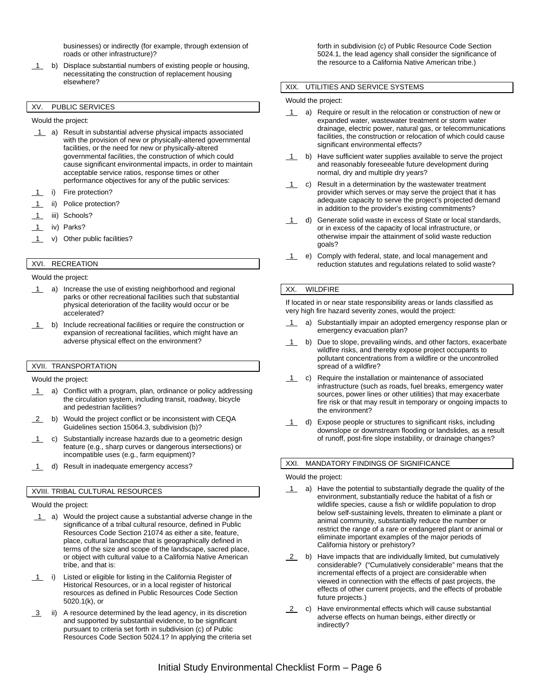businesses) or indirectly (for example, through extension of roads or other infrastructure)?

1 b) Displace substantial numbers of existing people or housing, necessitating the construction of replacement housing elsewhere?

# XV. PUBLIC SERVICES

Would the project:

- 1 a) Result in substantial adverse physical impacts associated with the provision of new or physically-altered governmental facilities, or the need for new or physically-altered governmental facilities, the construction of which could cause significant environmental impacts, in order to maintain acceptable service ratios, response times or other performance objectives for any of the public services:
- i) Fire protection?
- ii) Police protection?
- 1 iii) Schools?
- 1 iv) Parks?
- 1 v) Other public facilities?

# XVI. RECREATION

Would the project:

- 1 a) Increase the use of existing neighborhood and regional parks or other recreational facilities such that substantial physical deterioration of the facility would occur or be accelerated?
- 1 b) Include recreational facilities or require the construction or expansion of recreational facilities, which might have an adverse physical effect on the environment?

# XVII. TRANSPORTATION

Would the project:

- 1 a) Conflict with a program, plan, ordinance or policy addressing the circulation system, including transit, roadway, bicycle and pedestrian facilities?
- 2 b) Would the project conflict or be inconsistent with CEQA Guidelines section 15064.3, subdivision (b)?
- 1 c) Substantially increase hazards due to a geometric design feature (e.g., sharp curves or dangerous intersections) or incompatible uses (e.g., farm equipment)?
- 1 d) Result in inadequate emergency access?

#### XVIII. TRIBAL CULTURAL RESOURCES

Would the project:

- 1 a) Would the project cause a substantial adverse change in the significance of a tribal cultural resource, defined in Public Resources Code Section 21074 as either a site, feature, place, cultural landscape that is geographically defined in terms of the size and scope of the landscape, sacred place, or object with cultural value to a California Native American tribe, and that is:
- 1 i) Listed or eligible for listing in the California Register of Historical Resources, or in a local register of historical resources as defined in Public Resources Code Section 5020.1(k), or
- 3 ii) A resource determined by the lead agency, in its discretion and supported by substantial evidence, to be significant pursuant to criteria set forth in subdivision (c) of Public Resources Code Section 5024.1? In applying the criteria set

forth in subdivision (c) of Public Resource Code Section 5024.1, the lead agency shall consider the significance of the resource to a California Native American tribe.)

#### XIX. UTILITIES AND SERVICE SYSTEMS

Would the project:

- 1 a) Require or result in the relocation or construction of new or expanded water, wastewater treatment or storm water drainage, electric power, natural gas, or telecommunications facilities, the construction or relocation of which could cause significant environmental effects?
- 1 b) Have sufficient water supplies available to serve the project and reasonably foreseeable future development during normal, dry and multiple dry years?
- 1 c) Result in a determination by the wastewater treatment provider which serves or may serve the project that it has adequate capacity to serve the project's projected demand in addition to the provider's existing commitments?
- 1 d) Generate solid waste in excess of State or local standards, or in excess of the capacity of local infrastructure, or otherwise impair the attainment of solid waste reduction goals?
- 1 e) Comply with federal, state, and local management and reduction statutes and regulations related to solid waste?

#### XX. WILDFIRE

If located in or near state responsibility areas or lands classified as very high fire hazard severity zones, would the project:

- a) Substantially impair an adopted emergency response plan or emergency evacuation plan?
- 1 b) Due to slope, prevailing winds, and other factors, exacerbate wildfire risks, and thereby expose project occupants to pollutant concentrations from a wildfire or the uncontrolled spread of a wildfire?
- 1 c) Require the installation or maintenance of associated infrastructure (such as roads, fuel breaks, emergency water sources, power lines or other utilities) that may exacerbate fire risk or that may result in temporary or ongoing impacts to the environment?
- 1 d) Expose people or structures to significant risks, including downslope or downstream flooding or landslides, as a result of runoff, post-fire slope instability, or drainage changes?

# XXI. MANDATORY FINDINGS OF SIGNIFICANCE

Would the project:

- 1 a) Have the potential to substantially degrade the quality of the environment, substantially reduce the habitat of a fish or wildlife species, cause a fish or wildlife population to drop below self-sustaining levels, threaten to eliminate a plant or animal community, substantially reduce the number or restrict the range of a rare or endangered plant or animal or eliminate important examples of the major periods of California history or prehistory?
- 2 b) Have impacts that are individually limited, but cumulatively considerable? ("Cumulatively considerable" means that the incremental effects of a project are considerable when viewed in connection with the effects of past projects, the effects of other current projects, and the effects of probable future projects.)
- 2 c) Have environmental effects which will cause substantial adverse effects on human beings, either directly or indirectly?